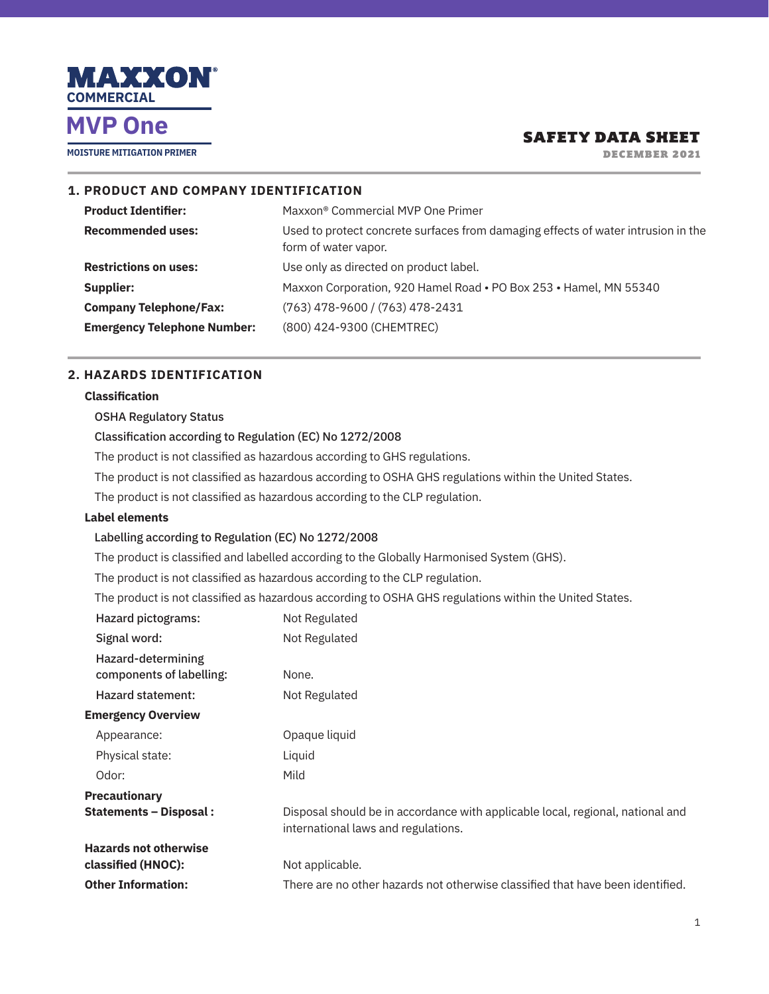

**MOISTURE MITIGATION PRIMER**

## SAFETY DATA SHEET

DECEMBER 2021

## **1. PRODUCT AND COMPANY IDENTIFICATION Product Identifier:** Maxxon<sup>®</sup> Commercial MVP One Primer **Recommended uses:** Used to protect concrete surfaces from damaging effects of water intrusion in the form of water vapor. **Restrictions on uses:** Use only as directed on product label. **Supplier:** Maxxon Corporation, 920 Hamel Road • PO Box 253 • Hamel, MN 55340 **Company Telephone/Fax:** (763) 478-9600 / (763) 478-2431 **Emergency Telephone Number:** (800) 424-9300 (CHEMTREC)

### **2. HAZARDS IDENTIFICATION**

#### **Classification**

#### OSHA Regulatory Status

#### Classification according to Regulation (EC) No 1272/2008

The product is not classified as hazardous according to GHS regulations.

The product is not classified as hazardous according to OSHA GHS regulations within the United States.

The product is not classified as hazardous according to the CLP regulation.

#### **Label elements**

#### Labelling according to Regulation (EC) No 1272/2008

The product is classified and labelled according to the Globally Harmonised System (GHS).

The product is not classified as hazardous according to the CLP regulation.

The product is not classified as hazardous according to OSHA GHS regulations within the United States.

| Hazard pictograms:                             | Not Regulated                                                                                                         |
|------------------------------------------------|-----------------------------------------------------------------------------------------------------------------------|
| Signal word:                                   | Not Regulated                                                                                                         |
| Hazard-determining<br>components of labelling: | None.                                                                                                                 |
| <b>Hazard statement:</b>                       | Not Regulated                                                                                                         |
| <b>Emergency Overview</b>                      |                                                                                                                       |
| Appearance:                                    | Opaque liquid                                                                                                         |
| Physical state:                                | Liquid                                                                                                                |
| Odor:                                          | Mild                                                                                                                  |
| Precautionary                                  |                                                                                                                       |
| Statements – Disposal :                        | Disposal should be in accordance with applicable local, regional, national and<br>international laws and regulations. |
| <b>Hazards not otherwise</b>                   |                                                                                                                       |
| classified (HNOC):                             | Not applicable.                                                                                                       |
| <b>Other Information:</b>                      | There are no other hazards not otherwise classified that have been identified.                                        |
|                                                |                                                                                                                       |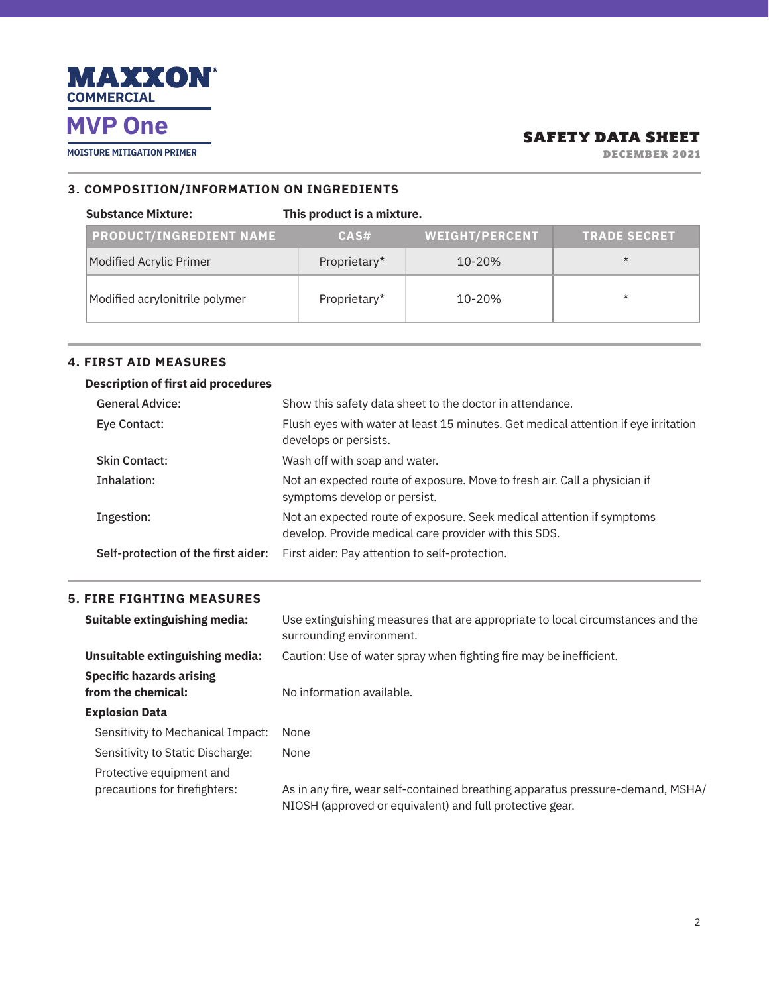

**MOISTURE MITIGATION PRIMER**

## SAFETY DATA SHEET

DECEMBER 2021

#### **3. COMPOSITION/INFORMATION ON INGREDIENTS**

| <b>Substance Mixture:</b>      | This product is a mixture. |                       |                     |
|--------------------------------|----------------------------|-----------------------|---------------------|
| <b>PRODUCT/INGREDIENT NAME</b> | CAS#                       | <b>WEIGHT/PERCENT</b> | <b>TRADE SECRET</b> |
| Modified Acrylic Primer        | Proprietary*               | 10-20%                | $\star$             |
| Modified acrylonitrile polymer | Proprietary*               | 10-20%                | $\star$             |

### **4. FIRST AID MEASURES**

### **Description of first aid procedures**

| <b>General Advice:</b>              | Show this safety data sheet to the doctor in attendance.                                                                       |
|-------------------------------------|--------------------------------------------------------------------------------------------------------------------------------|
| Eye Contact:                        | Flush eyes with water at least 15 minutes. Get medical attention if eye irritation<br>develops or persists.                    |
| <b>Skin Contact:</b>                | Wash off with soap and water.                                                                                                  |
| Inhalation:                         | Not an expected route of exposure. Move to fresh air. Call a physician if<br>symptoms develop or persist.                      |
| Ingestion:                          | Not an expected route of exposure. Seek medical attention if symptoms<br>develop. Provide medical care provider with this SDS. |
| Self-protection of the first aider: | First aider: Pay attention to self-protection.                                                                                 |

### **5. FIRE FIGHTING MEASURES**

| Suitable extinguishing media:                         | Use extinguishing measures that are appropriate to local circumstances and the<br>surrounding environment.                                 |
|-------------------------------------------------------|--------------------------------------------------------------------------------------------------------------------------------------------|
| Unsuitable extinguishing media:                       | Caution: Use of water spray when fighting fire may be inefficient.                                                                         |
| <b>Specific hazards arising</b><br>from the chemical: | No information available.                                                                                                                  |
| <b>Explosion Data</b>                                 |                                                                                                                                            |
| Sensitivity to Mechanical Impact:                     | None                                                                                                                                       |
| Sensitivity to Static Discharge:                      | None                                                                                                                                       |
| Protective equipment and                              |                                                                                                                                            |
| precautions for firefighters:                         | As in any fire, wear self-contained breathing apparatus pressure-demand, MSHA/<br>NIOSH (approved or equivalent) and full protective gear. |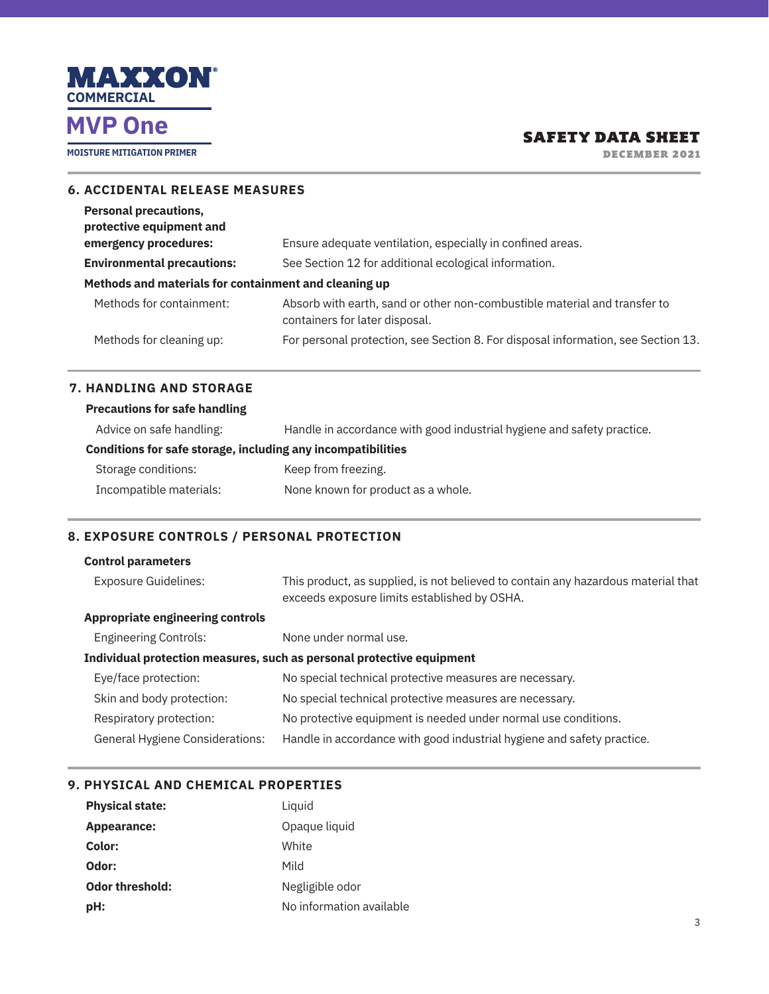

**MOISTURE MITIGATION PRIMER**

## SAFETY DATA SHEET

DECEMBER 2021

| <b>6. ACCIDENTAL RELEASE MEASURES</b>                    |                                                                                                             |
|----------------------------------------------------------|-------------------------------------------------------------------------------------------------------------|
| <b>Personal precautions,</b><br>protective equipment and |                                                                                                             |
| emergency procedures:                                    | Ensure adequate ventilation, especially in confined areas.                                                  |
| <b>Environmental precautions:</b>                        | See Section 12 for additional ecological information.                                                       |
| Methods and materials for containment and cleaning up    |                                                                                                             |
| Methods for containment:                                 | Absorb with earth, sand or other non-combustible material and transfer to<br>containers for later disposal. |
| Methods for cleaning up:                                 | For personal protection, see Section 8. For disposal information, see Section 13.                           |

### **7. HANDLING AND STORAGE**

| <b>Precautions for safe handling</b>                         |                                                                        |  |  |
|--------------------------------------------------------------|------------------------------------------------------------------------|--|--|
| Advice on safe handling:                                     | Handle in accordance with good industrial hygiene and safety practice. |  |  |
| Conditions for safe storage, including any incompatibilities |                                                                        |  |  |
| Storage conditions:                                          | Keep from freezing.                                                    |  |  |
| Incompatible materials:                                      | None known for product as a whole.                                     |  |  |

### **8. EXPOSURE CONTROLS / PERSONAL PROTECTION**

| <b>Control parameters</b>               |                                                                                                                                   |
|-----------------------------------------|-----------------------------------------------------------------------------------------------------------------------------------|
| <b>Exposure Guidelines:</b>             | This product, as supplied, is not believed to contain any hazardous material that<br>exceeds exposure limits established by OSHA. |
| <b>Appropriate engineering controls</b> |                                                                                                                                   |
| <b>Engineering Controls:</b>            | None under normal use.                                                                                                            |
|                                         | Individual protection measures, such as personal protective equipment                                                             |
| Eye/face protection:                    | No special technical protective measures are necessary.                                                                           |
| Skin and body protection:               | No special technical protective measures are necessary.                                                                           |
| Respiratory protection:                 | No protective equipment is needed under normal use conditions.                                                                    |
| <b>General Hygiene Considerations:</b>  | Handle in accordance with good industrial hygiene and safety practice.                                                            |

### **9. PHYSICAL AND CHEMICAL PROPERTIES**

| <b>Physical state:</b> | Liquid                   |
|------------------------|--------------------------|
| Appearance:            | Opaque liquid            |
| Color:                 | White                    |
| Odor:                  | Mild                     |
| <b>Odor threshold:</b> | Negligible odor          |
| pH:                    | No information available |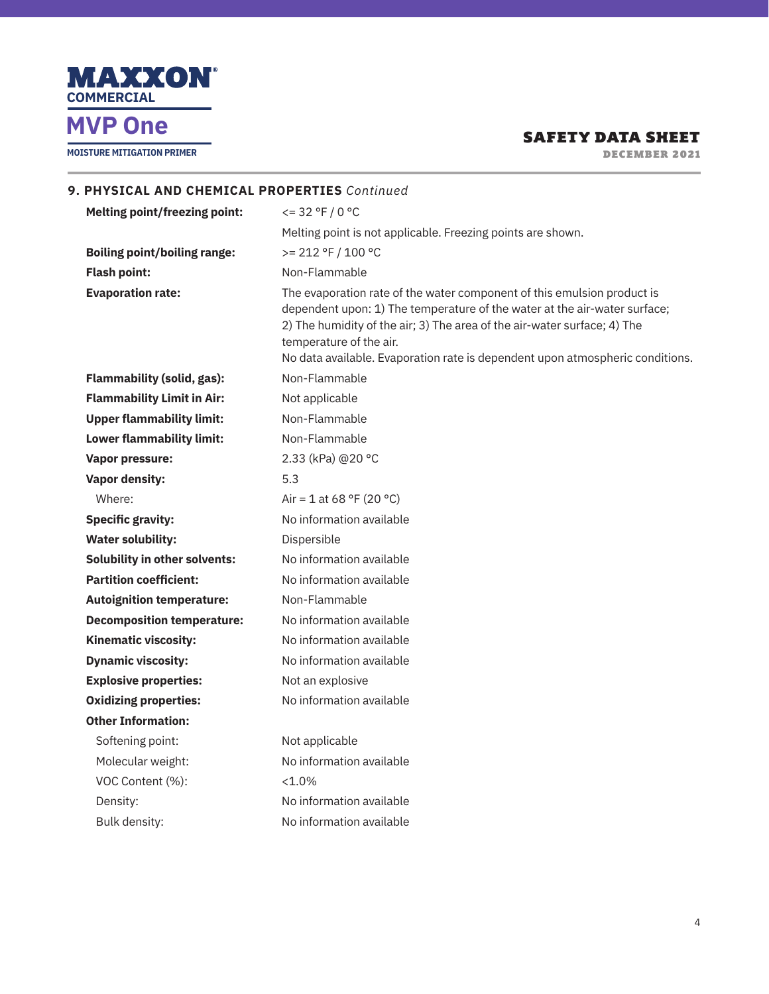

**MOISTURE MITIGATION PRIMER**

## SAFETY DATA SHEET

DECEMBER 2021

| 9. PHYSICAL AND CHEMICAL PROPERTIES Continued |                                                                                                                                                                                                                                                                                                                                              |
|-----------------------------------------------|----------------------------------------------------------------------------------------------------------------------------------------------------------------------------------------------------------------------------------------------------------------------------------------------------------------------------------------------|
| <b>Melting point/freezing point:</b>          | $\leq$ = 32 °F / 0 °C                                                                                                                                                                                                                                                                                                                        |
|                                               | Melting point is not applicable. Freezing points are shown.                                                                                                                                                                                                                                                                                  |
| <b>Boiling point/boiling range:</b>           | $>= 212 °F / 100 °C$                                                                                                                                                                                                                                                                                                                         |
| <b>Flash point:</b>                           | Non-Flammable                                                                                                                                                                                                                                                                                                                                |
| <b>Evaporation rate:</b>                      | The evaporation rate of the water component of this emulsion product is<br>dependent upon: 1) The temperature of the water at the air-water surface;<br>2) The humidity of the air; 3) The area of the air-water surface; 4) The<br>temperature of the air.<br>No data available. Evaporation rate is dependent upon atmospheric conditions. |
| <b>Flammability (solid, gas):</b>             | Non-Flammable                                                                                                                                                                                                                                                                                                                                |
| <b>Flammability Limit in Air:</b>             | Not applicable                                                                                                                                                                                                                                                                                                                               |
| <b>Upper flammability limit:</b>              | Non-Flammable                                                                                                                                                                                                                                                                                                                                |
| <b>Lower flammability limit:</b>              | Non-Flammable                                                                                                                                                                                                                                                                                                                                |
| Vapor pressure:                               | 2.33 (kPa) @20 °C                                                                                                                                                                                                                                                                                                                            |
| <b>Vapor density:</b>                         | 5.3                                                                                                                                                                                                                                                                                                                                          |
| Where:                                        | Air = 1 at 68 °F (20 °C)                                                                                                                                                                                                                                                                                                                     |
| <b>Specific gravity:</b>                      | No information available                                                                                                                                                                                                                                                                                                                     |
| <b>Water solubility:</b>                      | Dispersible                                                                                                                                                                                                                                                                                                                                  |
| <b>Solubility in other solvents:</b>          | No information available                                                                                                                                                                                                                                                                                                                     |
| <b>Partition coefficient:</b>                 | No information available                                                                                                                                                                                                                                                                                                                     |
| <b>Autoignition temperature:</b>              | Non-Flammable                                                                                                                                                                                                                                                                                                                                |
| <b>Decomposition temperature:</b>             | No information available                                                                                                                                                                                                                                                                                                                     |
| <b>Kinematic viscosity:</b>                   | No information available                                                                                                                                                                                                                                                                                                                     |
| <b>Dynamic viscosity:</b>                     | No information available                                                                                                                                                                                                                                                                                                                     |
| <b>Explosive properties:</b>                  | Not an explosive                                                                                                                                                                                                                                                                                                                             |
| <b>Oxidizing properties:</b>                  | No information available                                                                                                                                                                                                                                                                                                                     |
| <b>Other Information:</b>                     |                                                                                                                                                                                                                                                                                                                                              |
| Softening point:                              | Not applicable                                                                                                                                                                                                                                                                                                                               |
| Molecular weight:                             | No information available                                                                                                                                                                                                                                                                                                                     |
| VOC Content (%):                              | $< 1.0\%$                                                                                                                                                                                                                                                                                                                                    |
| Density:                                      | No information available                                                                                                                                                                                                                                                                                                                     |
| Bulk density:                                 | No information available                                                                                                                                                                                                                                                                                                                     |
|                                               |                                                                                                                                                                                                                                                                                                                                              |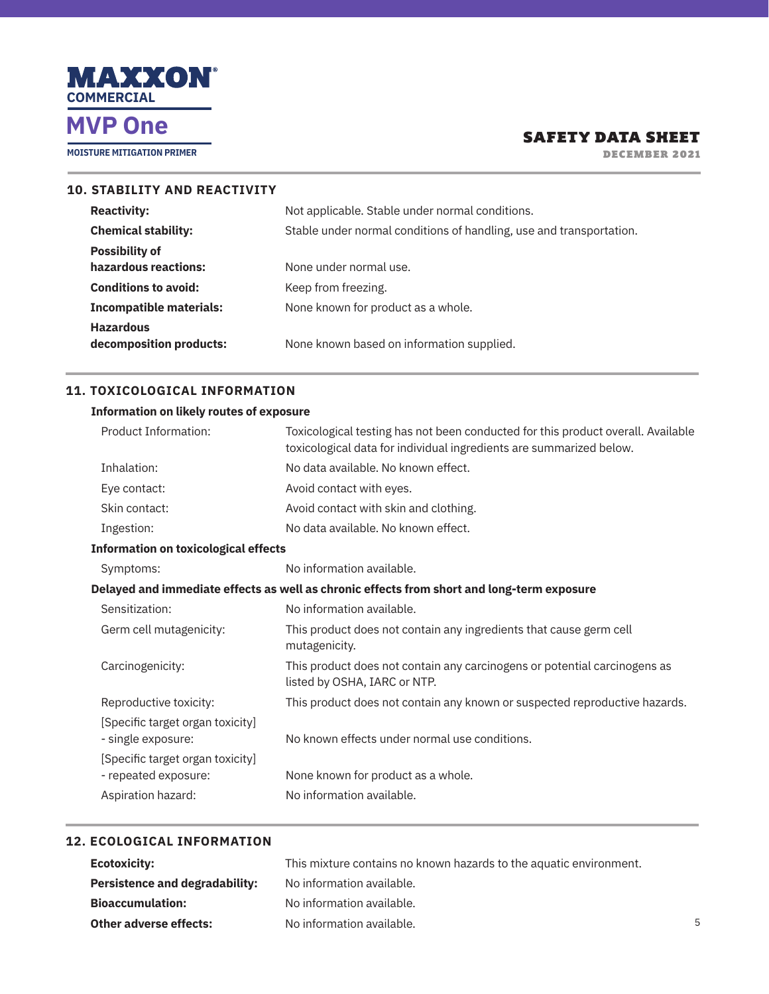

**MOISTURE MITIGATION PRIMER**

## SAFETY DATA SHEET

DECEMBER 2021

| <b>10. STABILITY AND REACTIVITY</b> |                                |                                                                     |
|-------------------------------------|--------------------------------|---------------------------------------------------------------------|
|                                     | <b>Reactivity:</b>             | Not applicable. Stable under normal conditions.                     |
|                                     | <b>Chemical stability:</b>     | Stable under normal conditions of handling, use and transportation. |
|                                     | <b>Possibility of</b>          |                                                                     |
|                                     | hazardous reactions:           | None under normal use.                                              |
|                                     | <b>Conditions to avoid:</b>    | Keep from freezing.                                                 |
|                                     | <b>Incompatible materials:</b> | None known for product as a whole.                                  |
|                                     | <b>Hazardous</b>               |                                                                     |
|                                     | decomposition products:        | None known based on information supplied.                           |
|                                     |                                |                                                                     |

### **11. TOXICOLOGICAL INFORMATION**

#### **Information on likely routes of exposure**

| Product Information:                                   | Toxicological testing has not been conducted for this product overall. Available<br>toxicological data for individual ingredients are summarized below. |
|--------------------------------------------------------|---------------------------------------------------------------------------------------------------------------------------------------------------------|
| Inhalation:                                            | No data available. No known effect.                                                                                                                     |
| Eye contact:                                           | Avoid contact with eyes.                                                                                                                                |
| Skin contact:                                          | Avoid contact with skin and clothing.                                                                                                                   |
| Ingestion:                                             | No data available. No known effect.                                                                                                                     |
| <b>Information on toxicological effects</b>            |                                                                                                                                                         |
| Symptoms:                                              | No information available.                                                                                                                               |
|                                                        | Delayed and immediate effects as well as chronic effects from short and long-term exposure                                                              |
| Sensitization:                                         | No information available.                                                                                                                               |
| Germ cell mutagenicity:                                | This product does not contain any ingredients that cause germ cell<br>mutagenicity.                                                                     |
| Carcinogenicity:                                       | This product does not contain any carcinogens or potential carcinogens as<br>listed by OSHA, IARC or NTP.                                               |
| Reproductive toxicity:                                 | This product does not contain any known or suspected reproductive hazards.                                                                              |
| [Specific target organ toxicity]<br>- single exposure: | No known effects under normal use conditions.                                                                                                           |
| [Specific target organ toxicity]                       |                                                                                                                                                         |
| - repeated exposure:                                   | None known for product as a whole.                                                                                                                      |
| Aspiration hazard:                                     | No information available.                                                                                                                               |

#### **12. ECOLOGICAL INFORMATION**

| Ecotoxicity:                          | This mixture contains no known hazards to the aquatic environment. |
|---------------------------------------|--------------------------------------------------------------------|
| <b>Persistence and degradability:</b> | No information available.                                          |
| <b>Bioaccumulation:</b>               | No information available.                                          |
| Other adverse effects:                | No information available.                                          |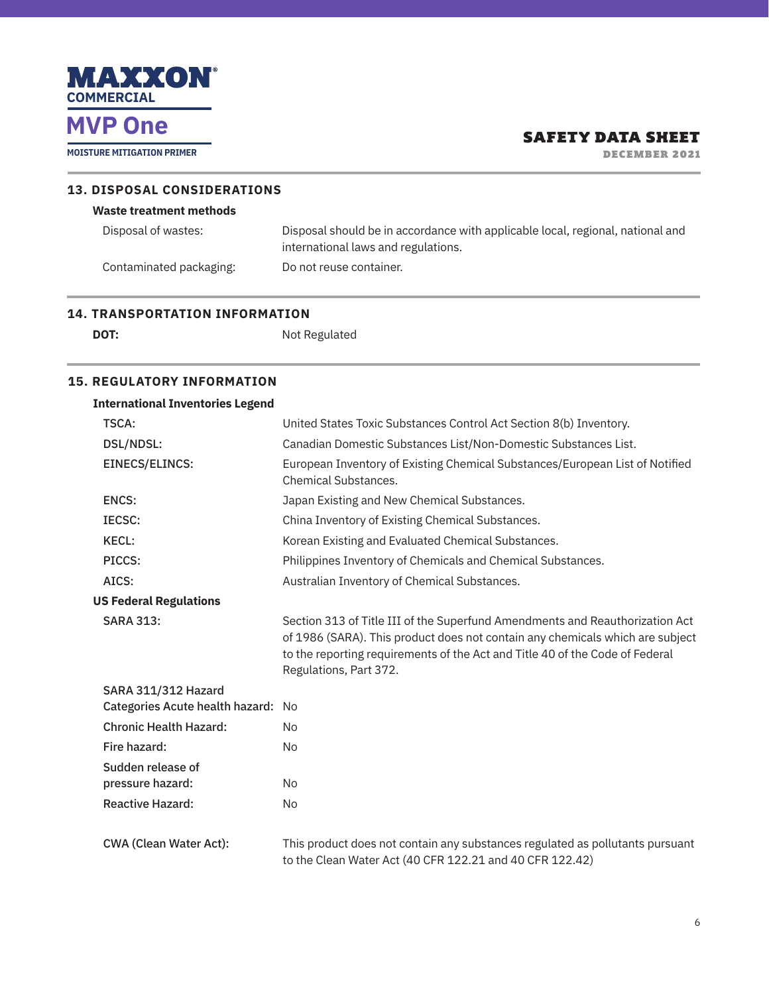

**MOISTURE MITIGATION PRIMER**

## SAFETY DATA SHEET

DECEMBER 2021

| <b>13. DISPOSAL CONSIDERATIONS</b> |                                                                                                                       |  |
|------------------------------------|-----------------------------------------------------------------------------------------------------------------------|--|
| <b>Waste treatment methods</b>     |                                                                                                                       |  |
| Disposal of wastes:                | Disposal should be in accordance with applicable local, regional, national and<br>international laws and regulations. |  |
| Contaminated packaging:            | Do not reuse container.                                                                                               |  |

### **14. TRANSPORTATION INFORMATION**

| ۰.<br>٠<br>$\sim$<br>۰.<br>. . |  |
|--------------------------------|--|

**DOT:** Not Regulated

#### **15. REGULATORY INFORMATION**

| <b>International Inventories Legend</b> |                                                                                                                                                                                                                                                                         |
|-----------------------------------------|-------------------------------------------------------------------------------------------------------------------------------------------------------------------------------------------------------------------------------------------------------------------------|
| TSCA:                                   | United States Toxic Substances Control Act Section 8(b) Inventory.                                                                                                                                                                                                      |
| <b>DSL/NDSL:</b>                        | Canadian Domestic Substances List/Non-Domestic Substances List.                                                                                                                                                                                                         |
| <b>EINECS/ELINCS:</b>                   | European Inventory of Existing Chemical Substances/European List of Notified<br><b>Chemical Substances.</b>                                                                                                                                                             |
| <b>ENCS:</b>                            | Japan Existing and New Chemical Substances.                                                                                                                                                                                                                             |
| IECSC:                                  | China Inventory of Existing Chemical Substances.                                                                                                                                                                                                                        |
| <b>KECL:</b>                            | Korean Existing and Evaluated Chemical Substances.                                                                                                                                                                                                                      |
| PICCS:                                  | Philippines Inventory of Chemicals and Chemical Substances.                                                                                                                                                                                                             |
| AICS:                                   | Australian Inventory of Chemical Substances.                                                                                                                                                                                                                            |
| <b>US Federal Regulations</b>           |                                                                                                                                                                                                                                                                         |
| <b>SARA 313:</b>                        | Section 313 of Title III of the Superfund Amendments and Reauthorization Act<br>of 1986 (SARA). This product does not contain any chemicals which are subject<br>to the reporting requirements of the Act and Title 40 of the Code of Federal<br>Regulations, Part 372. |
| <b>SARA 311/312 Hazard</b>              |                                                                                                                                                                                                                                                                         |
| Categories Acute health hazard: No      |                                                                                                                                                                                                                                                                         |
| <b>Chronic Health Hazard:</b>           | <b>No</b>                                                                                                                                                                                                                                                               |
| Fire hazard:                            | <b>No</b>                                                                                                                                                                                                                                                               |
| Sudden release of                       |                                                                                                                                                                                                                                                                         |
| pressure hazard:                        | <b>No</b>                                                                                                                                                                                                                                                               |
| <b>Reactive Hazard:</b>                 | <b>No</b>                                                                                                                                                                                                                                                               |
| <b>CWA (Clean Water Act):</b>           | This product does not contain any substances regulated as pollutants pursuant<br>to the Clean Water Act (40 CFR 122.21 and 40 CFR 122.42)                                                                                                                               |